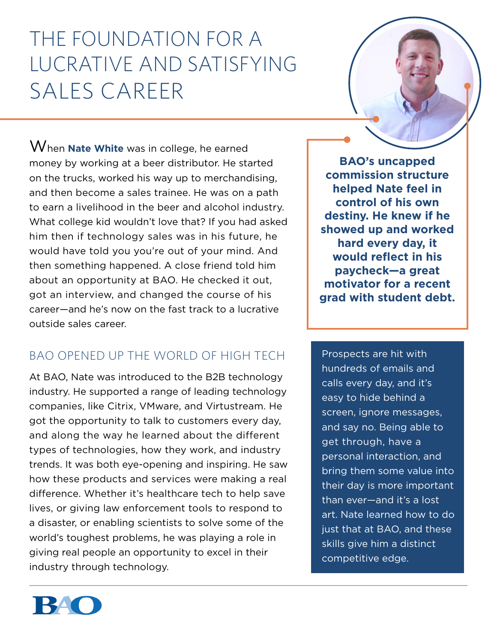# The Foundation for a Lucrative and Satisfying Sales Career

When **Nate White** was in college, he earned money by working at a beer distributor. He started on the trucks, worked his way up to merchandising, and then become a sales trainee. He was on a path to earn a livelihood in the beer and alcohol industry. What college kid wouldn't love that? If you had asked him then if technology sales was in his future, he would have told you you're out of your mind. And then something happened. A close friend told him about an opportunity at BAO. He checked it out, got an interview, and changed the course of his career—and he's now on the fast track to a lucrative outside sales career.

### BAO Opened Up the World of High Tech

At BAO, Nate was introduced to the B2B technology industry. He supported a range of leading technology companies, like Citrix, VMware, and Virtustream. He got the opportunity to talk to customers every day, and along the way he learned about the different types of technologies, how they work, and industry trends. It was both eye-opening and inspiring. He saw how these products and services were making a real difference. Whether it's healthcare tech to help save lives, or giving law enforcement tools to respond to a disaster, or enabling scientists to solve some of the world's toughest problems, he was playing a role in giving real people an opportunity to excel in their industry through technology.

**BAO's uncapped commission structure helped Nate feel in control of his own destiny. He knew if he showed up and worked hard every day, it would reflect in his paycheck—a great motivator for a recent grad with student debt.**

Prospects are hit with hundreds of emails and calls every day, and it's easy to hide behind a screen, ignore messages, and say no. Being able to get through, have a personal interaction, and bring them some value into their day is more important than ever—and it's a lost art. Nate learned how to do just that at BAO, and these skills give him a distinct competitive edge.